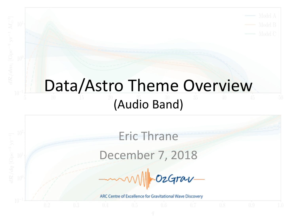#### Data/Astro Theme Overview (Audio Band)

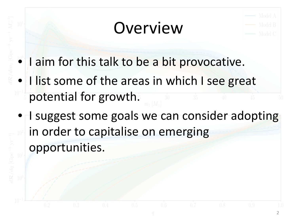### Overview



- I aim for this talk to be a bit provocative.
- I list some of the areas in which I see great potential for growth.
- I suggest some goals we can consider adopting in order to capitalise on emerging opportunities.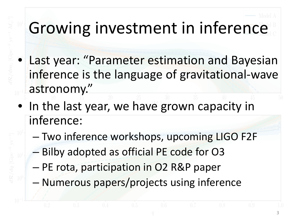# Growing investment in inference

- Last year: "Parameter estimation and Bayesian inference is the language of gravitational-wave astronomy."
- In the last year, we have grown capacity in inference:
	- Two inference workshops, upcoming LIGO F2F
	- Bilby adopted as official PE code for O3
	- PE rota, participation in O2 R&P paper
	- Numerous papers/projects using inference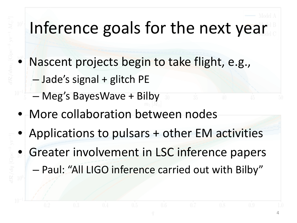# Inference goals for the next year

- Nascent projects begin to take flight, e.g.,
	- Jade's signal + glitch PE
	- Meg's BayesWave + Bilby
- More collaboration between nodes
- Applications to pulsars + other EM activities
- Greater involvement in LSC inference papers – Paul: "All LIGO inference carried out with Bilby"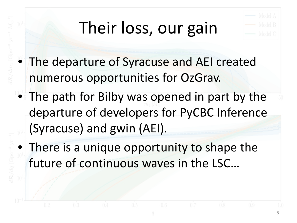# Their loss, our gain



- The departure of Syracuse and AEI created numerous opportunities for OzGrav.
- The path for Bilby was opened in part by the departure of developers for PyCBC Inference (Syracuse) and gwin (AEI).
- There is a unique opportunity to shape the future of continuous waves in the LSC…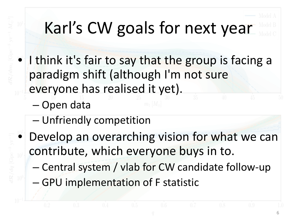# Karl's CW goals for next year

- I think it's fair to say that the group is facing a paradigm shift (although I'm not sure everyone has realised it yet).
	- Open data
	- Unfriendly competition
- Develop an overarching vision for what we can contribute, which everyone buys in to.
	- Central system / vlab for CW candidate follow-up
	- GPU implementation of F statistic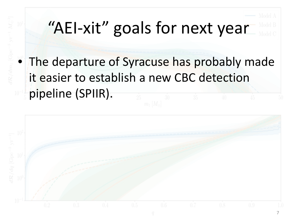# "AEI-xit" goals for next year

• The departure of Syracuse has probably made it easier to establish a new CBC detection pipeline (SPIIR).

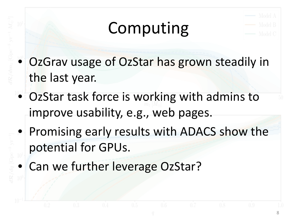# Computing



- OzGrav usage of OzStar has grown steadily in the last year.
- OzStar task force is working with admins to improve usability, e.g., web pages.
- Promising early results with ADACS show the potential for GPUs.
- Can we further leverage OzStar?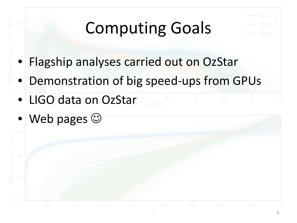# Computing Goals



- Flagship analyses carried out on OzStar
- Demonstration of big speed-ups from GPUs
- LIGO data on OzStar
- Web pages  $\odot$

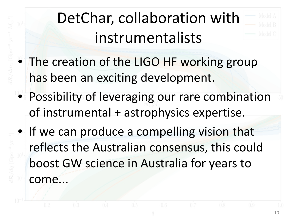## DetChar, collaboration with instrumentalists



- The creation of the LIGO HF working group has been an exciting development.
- Possibility of leveraging our rare combination of instrumental + astrophysics expertise.
- If we can produce a compelling vision that reflects the Australian consensus, this could boost GW science in Australia for years to come...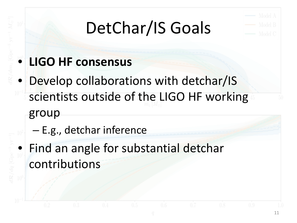# DetChar/IS Goals



#### • **LIGO HF consensus**

- Develop collaborations with detchar/IS scientists outside of the LIGO HF working group
	- E.g., detchar inference
	- Find an angle for substantial detchar contributions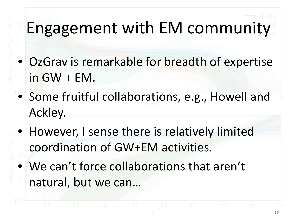# Engagement with EM community

- OzGrav is remarkable for breadth of expertise in GW + EM.
- Some fruitful collaborations, e.g., Howell and Ackley.
- However, I sense there is relatively limited coordination of GW+EM activities.
- We can't force collaborations that aren't natural, but we can…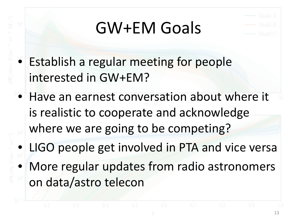## GW+EM Goals



- Establish a regular meeting for people interested in GW+EM?
- Have an earnest conversation about where it is realistic to cooperate and acknowledge where we are going to be competing?
- LIGO people get involved in PTA and vice versa
- More regular updates from radio astronomers on data/astro telecon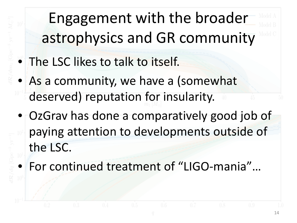Engagement with the broader astrophysics and GR community

- The LSC likes to talk to itself.
- As a community, we have a (somewhat deserved) reputation for insularity.
- OzGrav has done a comparatively good job of paying attention to developments outside of the LSC.
	- For continued treatment of "LIGO-mania"…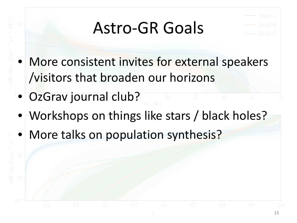# Astro-GR Goals



- More consistent invites for external speakers /visitors that broaden our horizons
- OzGrav journal club?
- Workshops on things like stars / black holes?
- More talks on population synthesis?